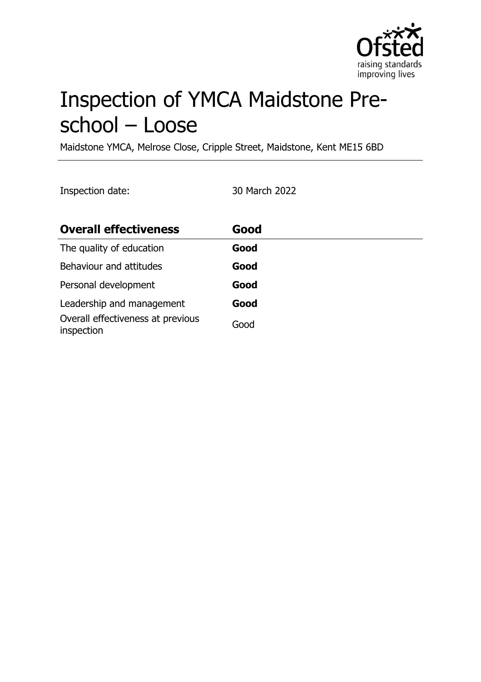

# Inspection of YMCA Maidstone Preschool – Loose

Maidstone YMCA, Melrose Close, Cripple Street, Maidstone, Kent ME15 6BD

Inspection date: 30 March 2022

| <b>Overall effectiveness</b>                    | Good |
|-------------------------------------------------|------|
| The quality of education                        | Good |
| Behaviour and attitudes                         | Good |
| Personal development                            | Good |
| Leadership and management                       | Good |
| Overall effectiveness at previous<br>inspection | Good |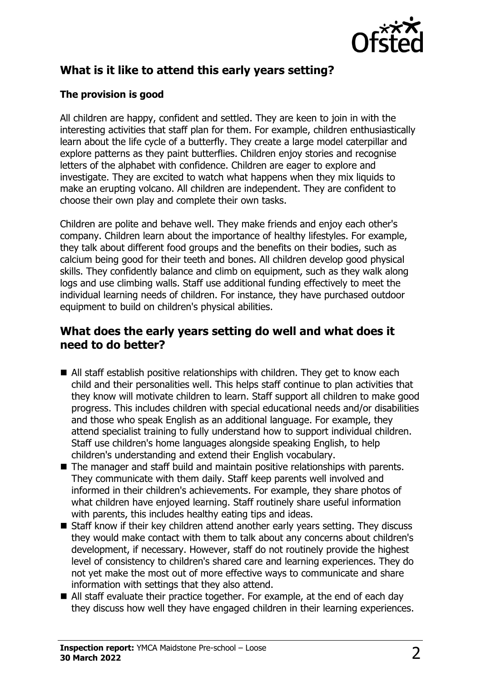

# **What is it like to attend this early years setting?**

## **The provision is good**

All children are happy, confident and settled. They are keen to join in with the interesting activities that staff plan for them. For example, children enthusiastically learn about the life cycle of a butterfly. They create a large model caterpillar and explore patterns as they paint butterflies. Children enjoy stories and recognise letters of the alphabet with confidence. Children are eager to explore and investigate. They are excited to watch what happens when they mix liquids to make an erupting volcano. All children are independent. They are confident to choose their own play and complete their own tasks.

Children are polite and behave well. They make friends and enjoy each other's company. Children learn about the importance of healthy lifestyles. For example, they talk about different food groups and the benefits on their bodies, such as calcium being good for their teeth and bones. All children develop good physical skills. They confidently balance and climb on equipment, such as they walk along logs and use climbing walls. Staff use additional funding effectively to meet the individual learning needs of children. For instance, they have purchased outdoor equipment to build on children's physical abilities.

## **What does the early years setting do well and what does it need to do better?**

- $\blacksquare$  All staff establish positive relationships with children. They get to know each child and their personalities well. This helps staff continue to plan activities that they know will motivate children to learn. Staff support all children to make good progress. This includes children with special educational needs and/or disabilities and those who speak English as an additional language. For example, they attend specialist training to fully understand how to support individual children. Staff use children's home languages alongside speaking English, to help children's understanding and extend their English vocabulary.
- $\blacksquare$  The manager and staff build and maintain positive relationships with parents. They communicate with them daily. Staff keep parents well involved and informed in their children's achievements. For example, they share photos of what children have enjoyed learning. Staff routinely share useful information with parents, this includes healthy eating tips and ideas.
- $\blacksquare$  Staff know if their key children attend another early years setting. They discuss they would make contact with them to talk about any concerns about children's development, if necessary. However, staff do not routinely provide the highest level of consistency to children's shared care and learning experiences. They do not yet make the most out of more effective ways to communicate and share information with settings that they also attend.
- $\blacksquare$  All staff evaluate their practice together. For example, at the end of each day they discuss how well they have engaged children in their learning experiences.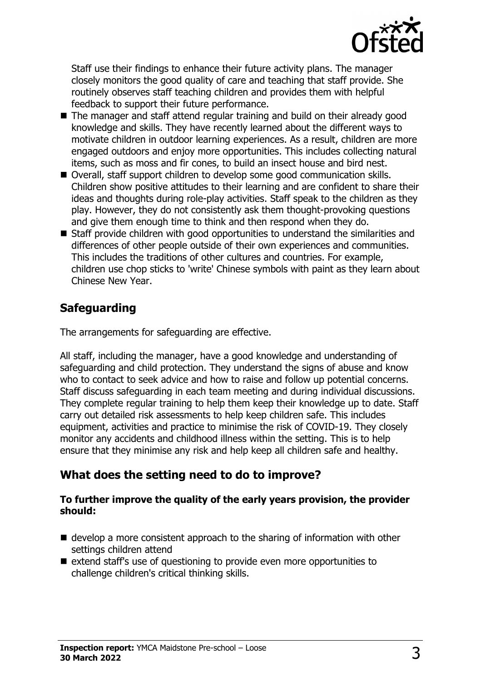

Staff use their findings to enhance their future activity plans. The manager closely monitors the good quality of care and teaching that staff provide. She routinely observes staff teaching children and provides them with helpful feedback to support their future performance.

- The manager and staff attend regular training and build on their already good knowledge and skills. They have recently learned about the different ways to motivate children in outdoor learning experiences. As a result, children are more engaged outdoors and enjoy more opportunities. This includes collecting natural items, such as moss and fir cones, to build an insect house and bird nest.
- Overall, staff support children to develop some good communication skills. Children show positive attitudes to their learning and are confident to share their ideas and thoughts during role-play activities. Staff speak to the children as they play. However, they do not consistently ask them thought-provoking questions and give them enough time to think and then respond when they do.
- $\blacksquare$  Staff provide children with good opportunities to understand the similarities and differences of other people outside of their own experiences and communities. This includes the traditions of other cultures and countries. For example, children use chop sticks to 'write' Chinese symbols with paint as they learn about Chinese New Year.

# **Safeguarding**

The arrangements for safeguarding are effective.

All staff, including the manager, have a good knowledge and understanding of safeguarding and child protection. They understand the signs of abuse and know who to contact to seek advice and how to raise and follow up potential concerns. Staff discuss safeguarding in each team meeting and during individual discussions. They complete regular training to help them keep their knowledge up to date. Staff carry out detailed risk assessments to help keep children safe. This includes equipment, activities and practice to minimise the risk of COVID-19. They closely monitor any accidents and childhood illness within the setting. This is to help ensure that they minimise any risk and help keep all children safe and healthy.

# **What does the setting need to do to improve?**

#### **To further improve the quality of the early years provision, the provider should:**

- $\blacksquare$  develop a more consistent approach to the sharing of information with other settings children attend
- extend staff's use of questioning to provide even more opportunities to challenge children's critical thinking skills.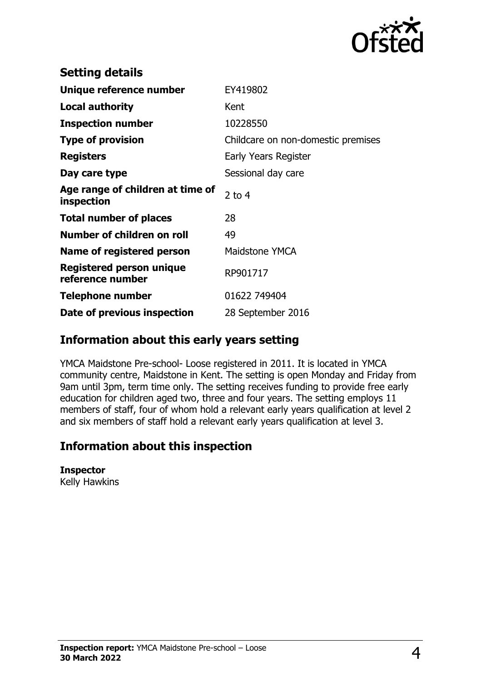

| <b>Setting details</b>                              |                                    |
|-----------------------------------------------------|------------------------------------|
| Unique reference number                             | EY419802                           |
| <b>Local authority</b>                              | Kent                               |
| <b>Inspection number</b>                            | 10228550                           |
| <b>Type of provision</b>                            | Childcare on non-domestic premises |
| <b>Registers</b>                                    | Early Years Register               |
| Day care type                                       | Sessional day care                 |
| Age range of children at time of<br>inspection      | 2 to $4$                           |
| <b>Total number of places</b>                       | 28                                 |
| Number of children on roll                          | 49                                 |
| Name of registered person                           | Maidstone YMCA                     |
| <b>Registered person unique</b><br>reference number | RP901717                           |
| <b>Telephone number</b>                             | 01622 749404                       |
| Date of previous inspection                         | 28 September 2016                  |

## **Information about this early years setting**

YMCA Maidstone Pre-school- Loose registered in 2011. It is located in YMCA community centre, Maidstone in Kent. The setting is open Monday and Friday from 9am until 3pm, term time only. The setting receives funding to provide free early education for children aged two, three and four years. The setting employs 11 members of staff, four of whom hold a relevant early years qualification at level 2 and six members of staff hold a relevant early years qualification at level 3.

## **Information about this inspection**

#### **Inspector**

Kelly Hawkins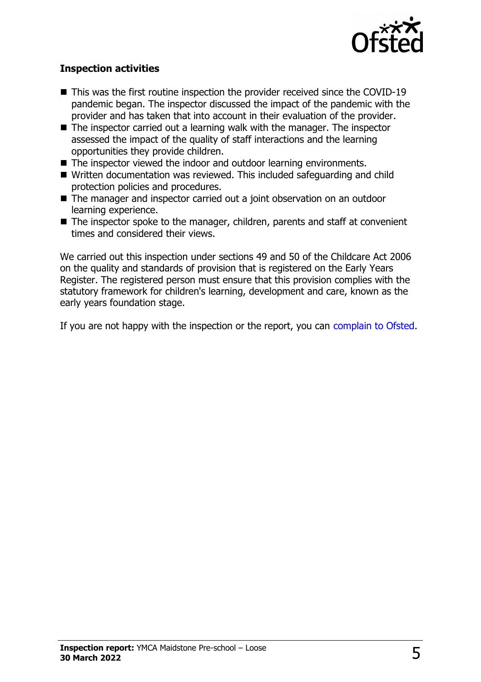

### **Inspection activities**

- $\blacksquare$  This was the first routine inspection the provider received since the COVID-19 pandemic began. The inspector discussed the impact of the pandemic with the provider and has taken that into account in their evaluation of the provider.
- $\blacksquare$  The inspector carried out a learning walk with the manager. The inspector assessed the impact of the quality of staff interactions and the learning opportunities they provide children.
- $\blacksquare$  The inspector viewed the indoor and outdoor learning environments.
- Written documentation was reviewed. This included safeguarding and child protection policies and procedures.
- The manager and inspector carried out a joint observation on an outdoor learning experience.
- $\blacksquare$  The inspector spoke to the manager, children, parents and staff at convenient times and considered their views.

We carried out this inspection under sections 49 and 50 of the Childcare Act 2006 on the quality and standards of provision that is registered on the Early Years Register. The registered person must ensure that this provision complies with the statutory framework for children's learning, development and care, known as the early years foundation stage.

If you are not happy with the inspection or the report, you can [complain to Ofsted](http://www.gov.uk/complain-ofsted-report).